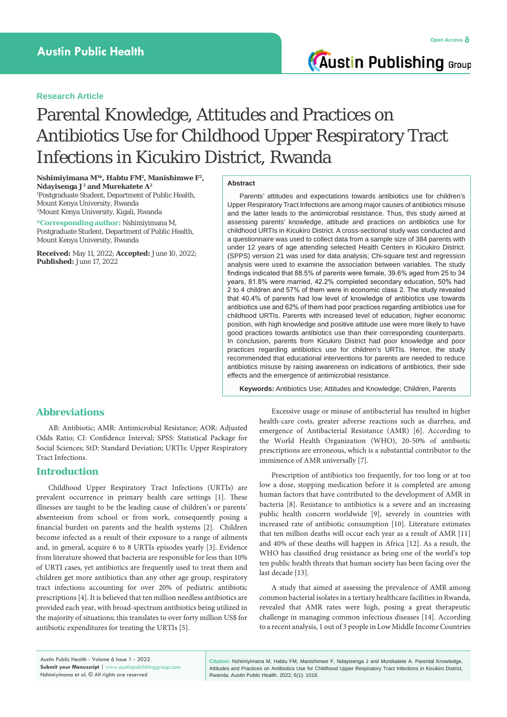# **Research Article**

# Parental Knowledge, Attitudes and Practices on Antibiotics Use for Childhood Upper Respiratory Tract Infections in Kicukiro District, Rwanda

**Nshimiyimana M1 \*, Habtu FM2, Manishimwe F2, Ndayisenga J2 and Murekatete A2** 1 Postgraduate Student, Department of Public Health, Mount Kenya University, Rwanda 2 Mount Kenya University, Kigali, Rwanda

**\*Corresponding author:** Nshimiyimana M, Postgraduate Student, Department of Public Health, Mount Kenya University, Rwanda

**Received:** May 11, 2022; **Accepted:** June 10, 2022; **Published:** June 17, 2022

#### **Abstract**

Parents' attitudes and expectations towards antibiotics use for children's Upper Respiratory Tract Infections are among major causes of antibiotics misuse and the latter leads to the antimicrobial resistance. Thus, this study aimed at assessing parents' knowledge, attitude and practices on antibiotics use for childhood URTIs in Kicukiro District. A cross-sectional study was conducted and a questionnaire was used to collect data from a sample size of 384 parents with under 12 years of age attending selected Health Centers in Kicukiro District. (SPPS) version 21 was used for data analysis; Chi-square test and regression analysis were used to examine the association between variables. The study findings indicated that 88.5% of parents were female, 39.6% aged from 25 to 34 years, 81.8% were married, 42.2% completed secondary education, 50% had 2 to 4 children and 57% of them were in economic class 2. The study revealed that 40.4% of parents had low level of knowledge of antibiotics use towards antibiotics use and 62% of them had poor practices regarding antibiotics use for childhood URTIs. Parents with increased level of education, higher economic position, with high knowledge and positive attitude use were more likely to have good practices towards antibiotics use than their corresponding counterparts. In conclusion, parents from Kicukiro District had poor knowledge and poor practices regarding antibiotics use for children's URTIs. Hence, the study recommended that educational interventions for parents are needed to reduce antibiotics misuse by raising awareness on indications of antibiotics, their side effects and the emergence of antimicrobial resistance.

**Keywords:** Antibiotics Use; Attitudes and Knowledge; Children, Parents

# **Abbreviations**

AB: Antibiotic; AMR: Antimicrobial Resistance; AOR: Adjusted Odds Ratio; CI: Confidence Interval; SPSS: Statistical Package for Social Sciences; StD: Standard Deviation; URTIs: Upper Respiratory Tract Infections.

## **Introduction**

Childhood Upper Respiratory Tract Infections (URTIs) are prevalent occurrence in primary health care settings [1]. These illnesses are taught to be the leading cause of children's or parents' absenteeism from school or from work, consequently posing a financial burden on parents and the health systems [2]. Children become infected as a result of their exposure to a range of ailments and, in general, acquire 6 to 8 URTIs episodes yearly [3]. Evidence from literature showed that bacteria are responsible for less than 10% of URTI cases, yet antibiotics are frequently used to treat them and children get more antibiotics than any other age group, respiratory tract infections accounting for over 20% of pediatric antibiotic prescriptions [4]. It is believed that ten million needless antibiotics are provided each year, with broad-spectrum antibiotics being utilized in the majority of situations; this translates to over forty million US\$ for antibiotic expenditures for treating the URTIs [5].

Excessive usage or misuse of antibacterial has resulted in higher health-care costs, greater adverse reactions such as diarrhea, and emergence of Antibacterial Resistance (AMR) [6]. According to the World Health Organization (WHO), 20-50% of antibiotic prescriptions are erroneous, which is a substantial contributor to the imminence of AMR universally [7].

Prescription of antibiotics too frequently, for too long or at too low a dose, stopping medication before it is completed are among human factors that have contributed to the development of AMR in bacteria [8]. Resistance to antibiotics is a severe and an increasing public health concern worldwide [9], severely in countries with increased rate of antibiotic consumption [10]. Literature estimates that ten million deaths will occur each year as a result of AMR [11] and 40% of these deaths will happen in Africa [12]. As a result, the WHO has classified drug resistance as being one of the world's top ten public health threats that human society has been facing over the last decade [13].

A study that aimed at assessing the prevalence of AMR among common bacterial isolates in a tertiary healthcare facilities in Rwanda, revealed that AMR rates were high, posing a great therapeutic challenge in managing common infectious diseases [14]. According to a recent analysis, 1 out of 3 people in Low Middle Income Countries

**Citation:** Nshimiyimana M, Habtu FM, Manishimwe F, Ndayisenga J and Murekatete A. Parental Knowledge, Attitudes and Practices on Antibiotics Use for Childhood Upper Respiratory Tract Infections in Kicukiro District, Rwanda. Austin Public Health. 2022; 6(1): 1018.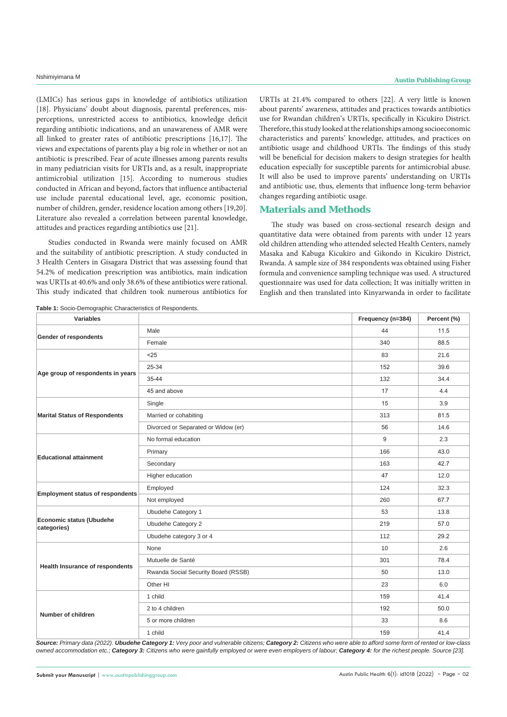(LMICs) has serious gaps in knowledge of antibiotics utilization [18]. Physicians' doubt about diagnosis, parental preferences, misperceptions, unrestricted access to antibiotics, knowledge deficit regarding antibiotic indications, and an unawareness of AMR were all linked to greater rates of antibiotic prescriptions [16,17]. The views and expectations of parents play a big role in whether or not an antibiotic is prescribed. Fear of acute illnesses among parents results in many pediatrician visits for URTIs and, as a result, inappropriate antimicrobial utilization [15]. According to numerous studies conducted in African and beyond, factors that influence antibacterial use include parental educational level, age, economic position, number of children, gender, residence location among others [19,20]. Literature also revealed a correlation between parental knowledge, attitudes and practices regarding antibiotics use [21].

Studies conducted in Rwanda were mainly focused on AMR and the suitability of antibiotic prescription. A study conducted in 3 Health Centers in Gisagara District that was assessing found that 54.2% of medication prescription was antibiotics, main indication was URTIs at 40.6% and only 38.6% of these antibiotics were rational. This study indicated that children took numerous antibiotics for URTIs at 21.4% compared to others [22]. A very little is known about parents' awareness, attitudes and practices towards antibiotics use for Rwandan children's URTIs, specifically in Kicukiro District. Therefore, this study looked at the relationships among socioeconomic characteristics and parents' knowledge, attitudes, and practices on antibiotic usage and childhood URTIs. The findings of this study will be beneficial for decision makers to design strategies for health education especially for susceptible parents for antimicrobial abuse. It will also be used to improve parents' understanding on URTIs and antibiotic use, thus, elements that influence long-term behavior changes regarding antibiotic usage.

# **Materials and Methods**

The study was based on cross-sectional research design and quantitative data were obtained from parents with under 12 years old children attending who attended selected Health Centers, namely Masaka and Kabuga Kicukiro and Gikondo in Kicukiro District, Rwanda. A sample size of 384 respondents was obtained using Fisher formula and convenience sampling technique was used. A structured questionnaire was used for data collection; It was initially written in English and then translated into Kinyarwanda in order to facilitate

| Variables                               |                                     | Frequency (n=384) | Percent (%) |
|-----------------------------------------|-------------------------------------|-------------------|-------------|
| <b>Gender of respondents</b>            | Male                                | 44                | 11.5        |
|                                         | Female                              | 340               | 88.5        |
|                                         | < 25                                | 83                | 21.6        |
|                                         | 25-34                               | 152               | 39.6        |
| Age group of respondents in years       | 35-44                               | 132               | 34.4        |
|                                         | 45 and above                        | 17                | 4.4         |
|                                         | Single                              | 15                | 3.9         |
| <b>Marital Status of Respondents</b>    | Married or cohabiting               | 313               | 81.5        |
|                                         | Divorced or Separated or Widow (er) | 56                | 14.6        |
|                                         | No formal education                 | 9                 | 2.3         |
| <b>Educational attainment</b>           | Primary                             | 166               | 43.0        |
|                                         | Secondary                           | 163               | 42.7        |
|                                         | Higher education                    | 47                | 12.0        |
| <b>Employment status of respondents</b> | Employed                            | 124               | 32.3        |
|                                         | Not employed                        | 260               | 67.7        |
| Economic status (Ubudehe<br>categories) | Ubudehe Category 1                  | 53                | 13.8        |
|                                         | Ubudehe Category 2                  | 219               | 57.0        |
|                                         | Ubudehe category 3 or 4             | 112               | 29.2        |
|                                         | None                                | 10                | 2.6         |
|                                         | Mutuelle de Santé                   | 301               | 78.4        |
| Health Insurance of respondents         | Rwanda Social Security Board (RSSB) | 50                | 13.0        |
|                                         | Other HI                            | 23                | 6.0         |
|                                         | 1 child                             | 159               | 41.4        |
| Number of children                      | 2 to 4 children                     | 192               | 50.0        |
|                                         | 5 or more children                  | 33                | 8.6         |
|                                         | 1 child                             | 159               | 41.4        |

**Table 1:** Socio-Demographic Characteristics of Respondents.

*Source: Primary data (2022). Ubudehe Category 1: Very poor and vulnerable citizens; Category 2: Citizens who were able to afford some form of rented or low-class owned accommodation etc.; Category 3: Citizens who were gainfully employed or were even employers of labour; Category 4: for the richest people. Source [23].*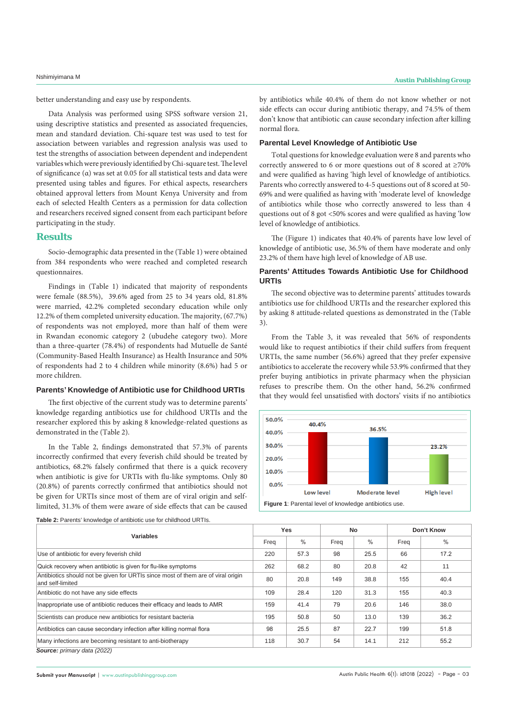better understanding and easy use by respondents.

Data Analysis was performed using SPSS software version 21, using descriptive statistics and presented as associated frequencies, mean and standard deviation. Chi-square test was used to test for association between variables and regression analysis was used to test the strengths of association between dependent and independent variables which were previously identified by Chi-square test. The level of significance (α) was set at 0.05 for all statistical tests and data were presented using tables and figures. For ethical aspects, researchers obtained approval letters from Mount Kenya University and from each of selected Health Centers as a permission for data collection and researchers received signed consent from each participant before participating in the study.

# **Results**

Socio-demographic data presented in the (Table 1) were obtained from 384 respondents who were reached and completed research questionnaires.

Findings in (Table 1) indicated that majority of respondents were female (88.5%), 39.6% aged from 25 to 34 years old, 81.8% were married, 42.2% completed secondary education while only 12.2% of them completed university education. The majority, (67.7%) of respondents was not employed, more than half of them were in Rwandan economic category 2 (ubudehe category two). More than a three-quarter (78.4%) of respondents had Mutuelle de Santé (Community-Based Health Insurance) as Health Insurance and 50% of respondents had 2 to 4 children while minority (8.6%) had 5 or more children.

#### **Parents' Knowledge of Antibiotic use for Childhood URTIs**

The first objective of the current study was to determine parents' knowledge regarding antibiotics use for childhood URTIs and the researcher explored this by asking 8 knowledge-related questions as demonstrated in the (Table 2).

In the Table 2, findings demonstrated that 57.3% of parents incorrectly confirmed that every feverish child should be treated by antibiotics, 68.2% falsely confirmed that there is a quick recovery when antibiotic is give for URTIs with flu-like symptoms. Only 80 (20.8%) of parents correctly confirmed that antibiotics should not be given for URTIs since most of them are of viral origin and selflimited, 31.3% of them were aware of side effects that can be caused by antibiotics while 40.4% of them do not know whether or not side effects can occur during antibiotic therapy, and 74.5% of them don't know that antibiotic can cause secondary infection after killing normal flora.

#### **Parental Level Knowledge of Antibiotic Use**

Total questions for knowledge evaluation were 8 and parents who correctly answered to 6 or more questions out of 8 scored at ≥70% and were qualified as having 'high level of knowledge of antibiotics. Parents who correctly answered to 4-5 questions out of 8 scored at 50- 69% and were qualified as having with 'moderate level of knowledge of antibiotics while those who correctly answered to less than 4 questions out of 8 got <50% scores and were qualified as having 'low level of knowledge of antibiotics.

The (Figure 1) indicates that 40.4% of parents have low level of knowledge of antibiotic use, 36.5% of them have moderate and only 23.2% of them have high level of knowledge of AB use.

### **Parents' Attitudes Towards Antibiotic Use for Childhood URTIs**

The second objective was to determine parents' attitudes towards antibiotics use for childhood URTIs and the researcher explored this by asking 8 attitude-related questions as demonstrated in the (Table 3).

From the Table 3, it was revealed that 56% of respondents would like to request antibiotics if their child suffers from frequent URTIs, the same number (56.6%) agreed that they prefer expensive antibiotics to accelerate the recovery while 53.9% confirmed that they prefer buying antibiotics in private pharmacy when the physician refuses to prescribe them. On the other hand, 56.2% confirmed that they would feel unsatisfied with doctors' visits if no antibiotics



**Table 2:** Parents' knowledge of antibiotic use for childhood URTIs.

| Variables                                                                                            |     | <b>Yes</b> |      | <b>No</b>     |      | Don't Know    |  |
|------------------------------------------------------------------------------------------------------|-----|------------|------|---------------|------|---------------|--|
|                                                                                                      |     | $\%$       | Freq | $\frac{0}{0}$ | Freq | $\frac{0}{0}$ |  |
| Use of antibiotic for every feverish child                                                           | 220 | 57.3       | 98   | 25.5          | 66   | 17.2          |  |
| Quick recovery when antibiotic is given for flu-like symptoms                                        | 262 | 68.2       | 80   | 20.8          | 42   | 11            |  |
| Antibiotics should not be given for URTIs since most of them are of viral origin<br>and self-limited | 80  | 20.8       | 149  | 38.8          | 155  | 40.4          |  |
| Antibiotic do not have any side effects                                                              | 109 | 28.4       | 120  | 31.3          | 155  | 40.3          |  |
| Inappropriate use of antibiotic reduces their efficacy and leads to AMR                              | 159 | 41.4       | 79   | 20.6          | 146  | 38.0          |  |
| Scientists can produce new antibiotics for resistant bacteria                                        | 195 | 50.8       | 50   | 13.0          | 139  | 36.2          |  |
| Antibiotics can cause secondary infection after killing normal flora                                 | 98  | 25.5       | 87   | 22.7          | 199  | 51.8          |  |
| Many infections are becoming resistant to anti-biotherapy                                            | 118 | 30.7       | 54   | 14.1          | 212  | 55.2          |  |
| Source: primary data (2022)                                                                          |     |            |      |               |      |               |  |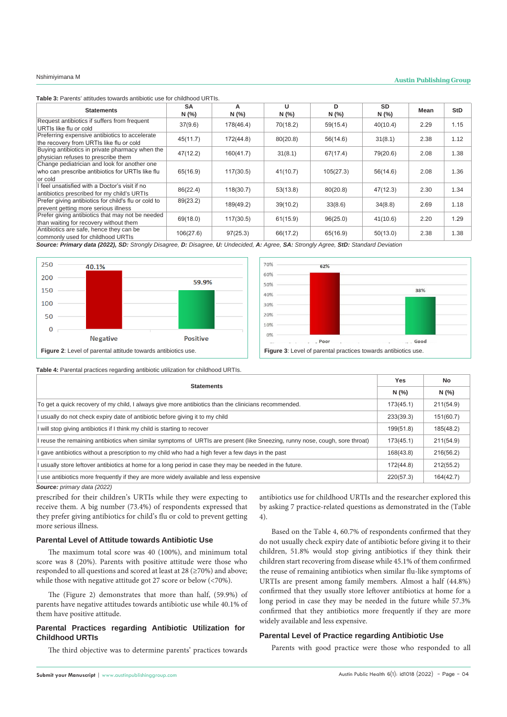# Nshimiyimana M **Austin Publishing Group**

**Table 3:** Parents' attitudes towards antibiotic use for childhood URTIs.

| <b>Statements</b>                                                                             | <b>SA</b><br>N(% | A<br>N(%  | U<br>N(% | D<br>N(%  | <b>SD</b><br>N(% | Mean | <b>StD</b> |
|-----------------------------------------------------------------------------------------------|------------------|-----------|----------|-----------|------------------|------|------------|
| Request antibiotics if suffers from frequent                                                  | 37(9.6)          | 178(46.4) | 70(18.2) | 59(15.4)  | 40(10.4)         | 2.29 | 1.15       |
| URTIs like flu or cold<br>Preferring expensive antibiotics to accelerate                      |                  |           |          |           |                  |      |            |
| the recovery from URTIs like flu or cold                                                      | 45(11.7)         | 172(44.8) | 80(20.8) | 56(14.6)  | 31(8.1)          | 2.38 | 1.12       |
| Buying antibiotics in private pharmacy when the<br>physician refuses to prescribe them        | 47(12.2)         | 160(41.7) | 31(8.1)  | 67(17.4)  | 79(20.6)         | 2.08 | 1.38       |
| Change pediatrician and look for another one                                                  |                  |           |          |           |                  |      |            |
| who can prescribe antibiotics for URTIs like flu<br>or cold                                   | 65(16.9)         | 117(30.5) | 41(10.7) | 105(27.3) | 56(14.6)         | 2.08 | 1.36       |
| I feel unsatisfied with a Doctor's visit if no<br>antibiotics prescribed for my child's URTIs | 86(22.4)         | 118(30.7) | 53(13.8) | 80(20.8)  | 47(12.3)         | 2.30 | 1.34       |
| Prefer giving antibiotics for child's flu or cold to<br>prevent getting more serious illness  | 89(23.2)         | 189(49.2) | 39(10.2) | 33(8.6)   | 34(8.8)          | 2.69 | 1.18       |
| Prefer giving antibiotics that may not be needed<br>than waiting for recovery without them    | 69(18.0)         | 117(30.5) | 61(15.9) | 96(25.0)  | 41(10.6)         | 2.20 | 1.29       |
| Antibiotics are safe, hence they can be<br>commonly used for childhood URTIs                  | 106(27.6)        | 97(25.3)  | 66(17.2) | 65(16.9)  | 50(13.0)         | 2.38 | 1.38       |

*Source: Primary data (2022), SD: Strongly Disagree, D: Disagree, U: Undecided, A: Agree, SA: Strongly Agree, StD: Standard Deviation*





**Table 4:** Parental practices regarding antibiotic utilization for childhood URTIs.

| <b>Statements</b>                                                                                                            |           | No        |
|------------------------------------------------------------------------------------------------------------------------------|-----------|-----------|
|                                                                                                                              |           | N(%       |
| To get a quick recovery of my child, I always give more antibiotics than the clinicians recommended.                         | 173(45.1) | 211(54.9) |
| I usually do not check expiry date of antibiotic before giving it to my child                                                | 233(39.3) | 151(60.7) |
| I will stop giving antibiotics if I think my child is starting to recover                                                    | 199(51.8) | 185(48.2) |
| I reuse the remaining antibiotics when similar symptoms of URTIs are present (like Sneezing, runny nose, cough, sore throat) | 173(45.1) | 211(54.9) |
| I gave antibiotics without a prescription to my child who had a high fever a few days in the past                            | 168(43.8) | 216(56.2) |
| I usually store leftover antibiotics at home for a long period in case they may be needed in the future.                     | 172(44.8) | 212(55.2) |
| I use antibiotics more frequently if they are more widely available and less expensive                                       | 220(57.3) | 164(42.7) |

*Source: primary data (2022)*

prescribed for their children's URTIs while they were expecting to receive them. A big number (73.4%) of respondents expressed that they prefer giving antibiotics for child's flu or cold to prevent getting more serious illness.

#### **Parental Level of Attitude towards Antibiotic Use**

The maximum total score was 40 (100%), and minimum total score was 8 (20%). Parents with positive attitude were those who responded to all questions and scored at least at 28 (≥70%) and above; while those with negative attitude got 27 score or below (<70%).

The (Figure 2) demonstrates that more than half, (59.9%) of parents have negative attitudes towards antibiotic use while 40.1% of them have positive attitude.

#### **Parental Practices regarding Antibiotic Utilization for Childhood URTIs**

The third objective was to determine parents' practices towards

antibiotics use for childhood URTIs and the researcher explored this by asking 7 practice-related questions as demonstrated in the (Table 4).

Based on the Table 4, 60.7% of respondents confirmed that they do not usually check expiry date of antibiotic before giving it to their children, 51.8% would stop giving antibiotics if they think their children start recovering from disease while 45.1% of them confirmed the reuse of remaining antibiotics when similar flu-like symptoms of URTIs are present among family members. Almost a half (44.8%) confirmed that they usually store leftover antibiotics at home for a long period in case they may be needed in the future while 57.3% confirmed that they antibiotics more frequently if they are more widely available and less expensive.

### **Parental Level of Practice regarding Antibiotic Use**

Parents with good practice were those who responded to all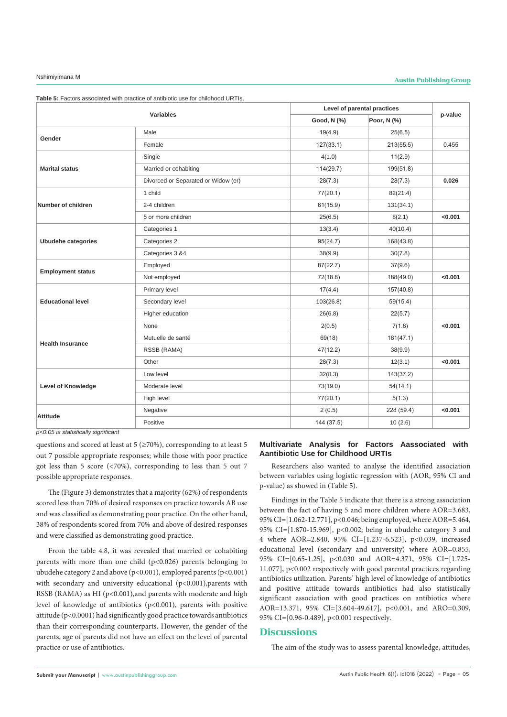| Poor, N (%)<br>Good, N (%)<br>Male<br>19(4.9)<br>25(6.5)<br>Gender<br>Female<br>127(33.1)<br>0.455<br>213(55.5)<br>Single<br>4(1.0)<br>11(2.9)<br><b>Marital status</b><br>Married or cohabiting<br>114(29.7)<br>199(51.8)<br>Divorced or Separated or Widow (er)<br>0.026<br>28(7.3)<br>28(7.3)<br>1 child<br>77(20.1)<br>82(21.4)<br>2-4 children<br>61(15.9)<br>131(34.1)<br>< 0.001<br>5 or more children<br>25(6.5)<br>8(2.1)<br>Categories 1<br>13(3.4)<br>40(10.4)<br>Categories 2<br>95(24.7)<br>Ubudehe categories<br>168(43.8)<br>Categories 3 &4<br>38(9.9)<br>30(7.8)<br>Employed<br>87(22.7)<br>37(9.6)<br><b>Employment status</b><br>Not employed<br>< 0.001<br>72(18.8)<br>188(49.0)<br>Primary level<br>17(4.4)<br>157(40.8)<br><b>Educational level</b><br>Secondary level<br>103(26.8)<br>59(15.4)<br>Higher education<br>26(6.8)<br>22(5.7)<br>None<br>< 0.001<br>2(0.5)<br>7(1.8)<br>Mutuelle de santé<br>69(18)<br>181(47.1)<br><b>Health Insurance</b><br>RSSB (RAMA)<br>47(12.2)<br>38(9.9)<br>< 0.001<br>Other<br>28(7.3)<br>12(3.1)<br>Low level<br>32(8.3)<br>143(37.2)<br><b>Level of Knowledge</b><br>Moderate level<br>73(19.0)<br>54(14.1)<br>High level<br>77(20.1)<br>5(1.3)<br>< 0.001<br>Negative<br>2(0.5)<br>228 (59.4)<br><b>Attitude</b><br>Positive<br>144 (37.5)<br>10(2.6) | <b>Variables</b>   |  | Level of parental practices |         |  |  |
|----------------------------------------------------------------------------------------------------------------------------------------------------------------------------------------------------------------------------------------------------------------------------------------------------------------------------------------------------------------------------------------------------------------------------------------------------------------------------------------------------------------------------------------------------------------------------------------------------------------------------------------------------------------------------------------------------------------------------------------------------------------------------------------------------------------------------------------------------------------------------------------------------------------------------------------------------------------------------------------------------------------------------------------------------------------------------------------------------------------------------------------------------------------------------------------------------------------------------------------------------------------------------------------------------------------------|--------------------|--|-----------------------------|---------|--|--|
|                                                                                                                                                                                                                                                                                                                                                                                                                                                                                                                                                                                                                                                                                                                                                                                                                                                                                                                                                                                                                                                                                                                                                                                                                                                                                                                      |                    |  |                             | p-value |  |  |
|                                                                                                                                                                                                                                                                                                                                                                                                                                                                                                                                                                                                                                                                                                                                                                                                                                                                                                                                                                                                                                                                                                                                                                                                                                                                                                                      |                    |  |                             |         |  |  |
|                                                                                                                                                                                                                                                                                                                                                                                                                                                                                                                                                                                                                                                                                                                                                                                                                                                                                                                                                                                                                                                                                                                                                                                                                                                                                                                      |                    |  |                             |         |  |  |
|                                                                                                                                                                                                                                                                                                                                                                                                                                                                                                                                                                                                                                                                                                                                                                                                                                                                                                                                                                                                                                                                                                                                                                                                                                                                                                                      |                    |  |                             |         |  |  |
|                                                                                                                                                                                                                                                                                                                                                                                                                                                                                                                                                                                                                                                                                                                                                                                                                                                                                                                                                                                                                                                                                                                                                                                                                                                                                                                      |                    |  |                             |         |  |  |
|                                                                                                                                                                                                                                                                                                                                                                                                                                                                                                                                                                                                                                                                                                                                                                                                                                                                                                                                                                                                                                                                                                                                                                                                                                                                                                                      |                    |  |                             |         |  |  |
|                                                                                                                                                                                                                                                                                                                                                                                                                                                                                                                                                                                                                                                                                                                                                                                                                                                                                                                                                                                                                                                                                                                                                                                                                                                                                                                      |                    |  |                             |         |  |  |
|                                                                                                                                                                                                                                                                                                                                                                                                                                                                                                                                                                                                                                                                                                                                                                                                                                                                                                                                                                                                                                                                                                                                                                                                                                                                                                                      | Number of children |  |                             |         |  |  |
|                                                                                                                                                                                                                                                                                                                                                                                                                                                                                                                                                                                                                                                                                                                                                                                                                                                                                                                                                                                                                                                                                                                                                                                                                                                                                                                      |                    |  |                             |         |  |  |
|                                                                                                                                                                                                                                                                                                                                                                                                                                                                                                                                                                                                                                                                                                                                                                                                                                                                                                                                                                                                                                                                                                                                                                                                                                                                                                                      |                    |  |                             |         |  |  |
|                                                                                                                                                                                                                                                                                                                                                                                                                                                                                                                                                                                                                                                                                                                                                                                                                                                                                                                                                                                                                                                                                                                                                                                                                                                                                                                      |                    |  |                             |         |  |  |
|                                                                                                                                                                                                                                                                                                                                                                                                                                                                                                                                                                                                                                                                                                                                                                                                                                                                                                                                                                                                                                                                                                                                                                                                                                                                                                                      |                    |  |                             |         |  |  |
|                                                                                                                                                                                                                                                                                                                                                                                                                                                                                                                                                                                                                                                                                                                                                                                                                                                                                                                                                                                                                                                                                                                                                                                                                                                                                                                      |                    |  |                             |         |  |  |
|                                                                                                                                                                                                                                                                                                                                                                                                                                                                                                                                                                                                                                                                                                                                                                                                                                                                                                                                                                                                                                                                                                                                                                                                                                                                                                                      |                    |  |                             |         |  |  |
|                                                                                                                                                                                                                                                                                                                                                                                                                                                                                                                                                                                                                                                                                                                                                                                                                                                                                                                                                                                                                                                                                                                                                                                                                                                                                                                      |                    |  |                             |         |  |  |
|                                                                                                                                                                                                                                                                                                                                                                                                                                                                                                                                                                                                                                                                                                                                                                                                                                                                                                                                                                                                                                                                                                                                                                                                                                                                                                                      |                    |  |                             |         |  |  |
|                                                                                                                                                                                                                                                                                                                                                                                                                                                                                                                                                                                                                                                                                                                                                                                                                                                                                                                                                                                                                                                                                                                                                                                                                                                                                                                      |                    |  |                             |         |  |  |
|                                                                                                                                                                                                                                                                                                                                                                                                                                                                                                                                                                                                                                                                                                                                                                                                                                                                                                                                                                                                                                                                                                                                                                                                                                                                                                                      |                    |  |                             |         |  |  |
|                                                                                                                                                                                                                                                                                                                                                                                                                                                                                                                                                                                                                                                                                                                                                                                                                                                                                                                                                                                                                                                                                                                                                                                                                                                                                                                      |                    |  |                             |         |  |  |
|                                                                                                                                                                                                                                                                                                                                                                                                                                                                                                                                                                                                                                                                                                                                                                                                                                                                                                                                                                                                                                                                                                                                                                                                                                                                                                                      |                    |  |                             |         |  |  |
|                                                                                                                                                                                                                                                                                                                                                                                                                                                                                                                                                                                                                                                                                                                                                                                                                                                                                                                                                                                                                                                                                                                                                                                                                                                                                                                      |                    |  |                             |         |  |  |
|                                                                                                                                                                                                                                                                                                                                                                                                                                                                                                                                                                                                                                                                                                                                                                                                                                                                                                                                                                                                                                                                                                                                                                                                                                                                                                                      |                    |  |                             |         |  |  |
|                                                                                                                                                                                                                                                                                                                                                                                                                                                                                                                                                                                                                                                                                                                                                                                                                                                                                                                                                                                                                                                                                                                                                                                                                                                                                                                      |                    |  |                             |         |  |  |
|                                                                                                                                                                                                                                                                                                                                                                                                                                                                                                                                                                                                                                                                                                                                                                                                                                                                                                                                                                                                                                                                                                                                                                                                                                                                                                                      |                    |  |                             |         |  |  |
|                                                                                                                                                                                                                                                                                                                                                                                                                                                                                                                                                                                                                                                                                                                                                                                                                                                                                                                                                                                                                                                                                                                                                                                                                                                                                                                      |                    |  |                             |         |  |  |
|                                                                                                                                                                                                                                                                                                                                                                                                                                                                                                                                                                                                                                                                                                                                                                                                                                                                                                                                                                                                                                                                                                                                                                                                                                                                                                                      |                    |  |                             |         |  |  |

**Table 5:** Factors associated with practice of antibiotic use for childhood URTIs.

*p<0.05 is statistically significant*

questions and scored at least at  $5$  ( $\geq$ 70%), corresponding to at least 5 out 7 possible appropriate responses; while those with poor practice got less than 5 score (<70%), corresponding to less than 5 out 7 possible appropriate responses.

The (Figure 3) demonstrates that a majority (62%) of respondents scored less than 70% of desired responses on practice towards AB use and was classified as demonstrating poor practice. On the other hand, 38% of respondents scored from 70% and above of desired responses and were classified as demonstrating good practice.

From the table 4.8, it was revealed that married or cohabiting parents with more than one child (p<0.026) parents belonging to ubudehe category 2 and above (p<0.001), employed parents (p<0.001) with secondary and university educational (p<0.001),parents with RSSB (RAMA) as HI (p<0.001),and parents with moderate and high level of knowledge of antibiotics (p<0.001), parents with positive attitude (p<0.0001) had significantly good practice towards antibiotics than their corresponding counterparts. However, the gender of the parents, age of parents did not have an effect on the level of parental practice or use of antibiotics.

### **Multivariate Analysis for Factors Aassociated with Aantibiotic Use for Childhood URTIs**

Researchers also wanted to analyse the identified association between variables using logistic regression with (AOR, 95% CI and p-value) as showed in (Table 5).

Findings in the Table 5 indicate that there is a strong association between the fact of having 5 and more children where AOR=3.683, 95% CI=[1.062-12.771], p<0.046; being employed, where AOR=5.464, 95% CI=[1.870-15.969], p<0.002; being in ubudehe category 3 and 4 where AOR=2.840, 95% CI=[1.237-6.523], p<0.039, increased educational level (secondary and university) where AOR=0.855, 95% CI=[0.65-1.25], p<0.030 and AOR=4.371, 95% CI=[1.725- 11.077], p<0.002 respectively with good parental practices regarding antibiotics utilization. Parents' high level of knowledge of antibiotics and positive attitude towards antibiotics had also statistically significant association with good practices on antibiotics where AOR=13.371, 95% CI=[3.604-49.617], p<0.001, and ARO=0.309, 95% CI=[0.96-0.489], p<0.001 respectively.

# **Discussions**

The aim of the study was to assess parental knowledge, attitudes,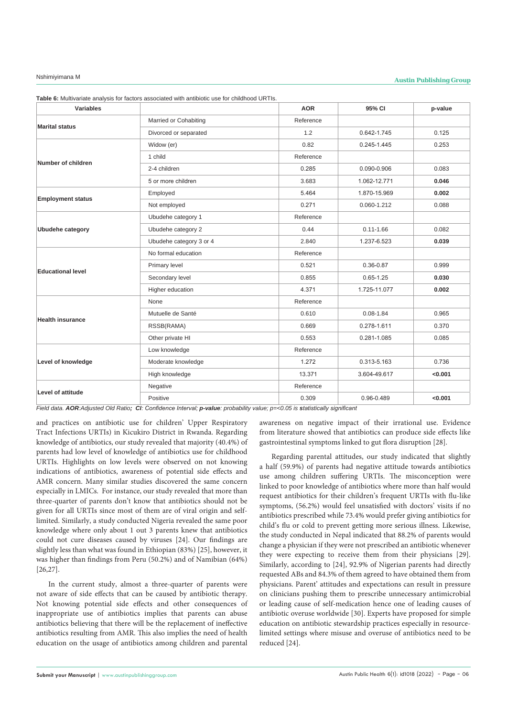| Variables                |                         | <b>AOR</b> | 95% CI        | p-value |
|--------------------------|-------------------------|------------|---------------|---------|
| <b>Marital status</b>    | Married or Cohabiting   | Reference  |               |         |
|                          | Divorced or separated   | 1.2        | 0.642-1.745   | 0.125   |
|                          | Widow (er)              | 0.82       | 0.245-1.445   | 0.253   |
| Number of children       | 1 child                 | Reference  |               |         |
|                          | 2-4 children            | 0.285      | 0.090-0.906   | 0.083   |
|                          | 5 or more children      | 3.683      | 1.062-12.771  | 0.046   |
| <b>Employment status</b> | Employed                | 5.464      | 1.870-15.969  | 0.002   |
|                          | Not employed            | 0.271      | 0.060-1.212   | 0.088   |
|                          | Ubudehe category 1      | Reference  |               |         |
| Ubudehe category         | Ubudehe category 2      | 0.44       | $0.11 - 1.66$ | 0.082   |
|                          | Ubudehe category 3 or 4 | 2.840      | 1.237-6.523   | 0.039   |
|                          | No formal education     | Reference  |               |         |
| <b>Educational level</b> | Primary level           | 0.521      | 0.36-0.87     | 0.999   |
|                          | Secondary level         | 0.855      | $0.65 - 1.25$ | 0.030   |
|                          | Higher education        | 4.371      | 1.725-11.077  | 0.002   |
| <b>Health insurance</b>  | None                    | Reference  |               |         |
|                          | Mutuelle de Santé       | 0.610      | $0.08 - 1.84$ | 0.965   |
|                          | RSSB(RAMA)              | 0.669      | 0.278-1.611   | 0.370   |
|                          | Other private HI        | 0.553      | 0.281-1.085   | 0.085   |
| Level of knowledge       | Low knowledge           | Reference  |               |         |
|                          | Moderate knowledge      | 1.272      | 0.313-5.163   | 0.736   |
|                          | High knowledge          | 13.371     | 3.604-49.617  | < 0.001 |
| Level of attitude        | Negative                | Reference  |               |         |
|                          | Positive                | 0.309      | 0.96-0.489    | < 0.001 |

**Table 6:** Multivariate analysis for factors associated with antibiotic use for childhood URTIs.

*Field data. AOR:Adjusted Old Ratio; CI: Confidence Interval; p-value: probability value; p=<0.05 is statistically significant*

and practices on antibiotic use for children' Upper Respiratory Tract Infections URTIs) in Kicukiro District in Rwanda. Regarding knowledge of antibiotics, our study revealed that majority (40.4%) of parents had low level of knowledge of antibiotics use for childhood URTIs. Highlights on low levels were observed on not knowing indications of antibiotics, awareness of potential side effects and AMR concern. Many similar studies discovered the same concern especially in LMICs. For instance, our study revealed that more than three-quarter of parents don't know that antibiotics should not be given for all URTIs since most of them are of viral origin and selflimited. Similarly, a study conducted Nigeria revealed the same poor knowledge where only about 1 out 3 parents knew that antibiotics could not cure diseases caused by viruses [24]. Our findings are slightly less than what was found in Ethiopian (83%) [25], however, it was higher than findings from Peru (50.2%) and of Namibian (64%) [26,27].

In the current study, almost a three-quarter of parents were not aware of side effects that can be caused by antibiotic therapy. Not knowing potential side effects and other consequences of inappropriate use of antibiotics implies that parents can abuse antibiotics believing that there will be the replacement of ineffective antibiotics resulting from AMR. This also implies the need of health education on the usage of antibiotics among children and parental

awareness on negative impact of their irrational use. Evidence from literature showed that antibiotics can produce side effects like gastrointestinal symptoms linked to gut flora disruption [28].

Regarding parental attitudes, our study indicated that slightly a half (59.9%) of parents had negative attitude towards antibiotics use among children suffering URTIs. The misconception were linked to poor knowledge of antibiotics where more than half would request antibiotics for their children's frequent URTIs with flu-like symptoms, (56.2%) would feel unsatisfied with doctors' visits if no antibiotics prescribed while 73.4% would prefer giving antibiotics for child's flu or cold to prevent getting more serious illness. Likewise, the study conducted in Nepal indicated that 88.2% of parents would change a physician if they were not prescribed an antibiotic whenever they were expecting to receive them from their physicians [29]. Similarly, according to [24], 92.9% of Nigerian parents had directly requested ABs and 84.3% of them agreed to have obtained them from physicians. Parent' attitudes and expectations can result in pressure on clinicians pushing them to prescribe unnecessary antimicrobial or leading cause of self-medication hence one of leading causes of antibiotic overuse worldwide [30]. Experts have proposed for simple education on antibiotic stewardship practices especially in resourcelimited settings where misuse and overuse of antibiotics need to be reduced [24].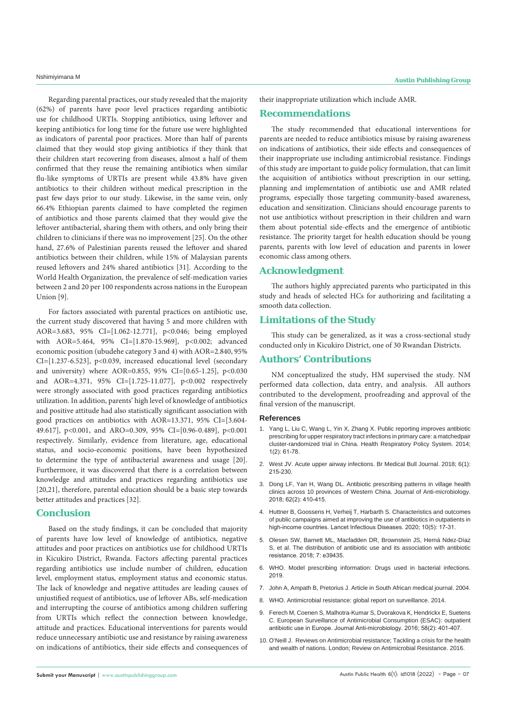Regarding parental practices, our study revealed that the majority (62%) of parents have poor level practices regarding antibiotic use for childhood URTIs. Stopping antibiotics, using leftover and keeping antibiotics for long time for the future use were highlighted as indicators of parental poor practices. More than half of parents claimed that they would stop giving antibiotics if they think that their children start recovering from diseases, almost a half of them confirmed that they reuse the remaining antibiotics when similar flu-like symptoms of URTIs are present while 43.8% have given antibiotics to their children without medical prescription in the past few days prior to our study. Likewise, in the same vein, only 66.4% Ethiopian parents claimed to have completed the regimen of antibiotics and those parents claimed that they would give the leftover antibacterial, sharing them with others, and only bring their children to clinicians if there was no improvement [25]. On the other hand, 27.6% of Palestinian parents reused the leftover and shared antibiotics between their children, while 15% of Malaysian parents reused leftovers and 24% shared antibiotics [31]. According to the World Health Organization, the prevalence of self-medication varies between 2 and 20 per 100 respondents across nations in the European Union [9].

For factors associated with parental practices on antibiotic use, the current study discovered that having 5 and more children with AOR=3.683, 95% CI=[1.062-12.771], p<0.046; being employed with AOR=5.464, 95% CI=[1.870-15.969], p<0.002; advanced economic position (ubudehe category 3 and 4) with AOR=2.840, 95% CI=[1.237-6.523], p<0.039, increased educational level (secondary and university) where AOR=0.855, 95% CI=[0.65-1.25], p<0.030 and AOR=4.371, 95% CI=[1.725-11.077], p<0.002 respectively were strongly associated with good practices regarding antibiotics utilization. In addition, parents' high level of knowledge of antibiotics and positive attitude had also statistically significant association with good practices on antibiotics with AOR=13.371, 95% CI=[3.604- 49.617], p<0.001, and ARO=0.309, 95% CI=[0.96-0.489], p<0.001 respectively. Similarly, evidence from literature, age, educational status, and socio-economic positions, have been hypothesized to determine the type of antibacterial awareness and usage [20]. Furthermore, it was discovered that there is a correlation between knowledge and attitudes and practices regarding antibiotics use [20,21], therefore, parental education should be a basic step towards better attitudes and practices [32].

#### **Conclusion**

Based on the study findings, it can be concluded that majority of parents have low level of knowledge of antibiotics, negative attitudes and poor practices on antibiotics use for childhood URTIs in Kicukiro District, Rwanda. Factors affecting parental practices regarding antibiotics use include number of children, education level, employment status, employment status and economic status. The lack of knowledge and negative attitudes are leading causes of unjustified request of antibiotics, use of leftover ABs, self-medication and interrupting the course of antibiotics among children suffering from URTIs which reflect the connection between knowledge, attitude and practices. Educational interventions for parents would reduce unnecessary antibiotic use and resistance by raising awareness on indications of antibiotics, their side effects and consequences of

**Submit your Manuscript** | www.austinpublishinggroup.com

their inappropriate utilization which include AMR.

### **Recommendations**

The study recommended that educational interventions for parents are needed to reduce antibiotics misuse by raising awareness on indications of antibiotics, their side effects and consequences of their inappropriate use including antimicrobial resistance. Findings of this study are important to guide policy formulation, that can limit the acquisition of antibiotics without prescription in our setting, planning and implementation of antibiotic use and AMR related programs, especially those targeting community-based awareness, education and sensitization. Clinicians should encourage parents to not use antibiotics without prescription in their children and warn them about potential side-effects and the emergence of antibiotic resistance. The priority target for health education should be young parents, parents with low level of education and parents in lower economic class among others.

### **Acknowledgment**

The authors highly appreciated parents who participated in this study and heads of selected HCs for authorizing and facilitating a smooth data collection.

### **Limitations of the Study**

This study can be generalized, as it was a cross-sectional study conducted only in Kicukiro District, one of 30 Rwandan Districts.

# **Authors' Contributions**

NM conceptualized the study, HM supervised the study. NM performed data collection, data entry, and analysis. All authors contributed to the development, proofreading and approval of the final version of the manuscript.

#### **References**

- 1. [Yang L, Liu C, Wang L, Yin X, Zhang X. Public reporting improves antibiotic](https://health-policy-systems.biomedcentral.com/articles/10.1186/1478-4505-12-61)  [prescribing for upper respiratory tract infections in primary care: a matchedpair](https://health-policy-systems.biomedcentral.com/articles/10.1186/1478-4505-12-61)  [cluster-randomized trial in China. Health Respiratory Policy System. 2014;](https://health-policy-systems.biomedcentral.com/articles/10.1186/1478-4505-12-61)  [1\(2\): 61-78.](https://health-policy-systems.biomedcentral.com/articles/10.1186/1478-4505-12-61)
- 2. [West JV. Acute upper airway infections. Br Medical Bull Journal. 2018; 6\(1\):](https://pubmed.ncbi.nlm.nih.gov/11997308/)  [215-230.](https://pubmed.ncbi.nlm.nih.gov/11997308/)
- 3. Dong LF, Yan H, Wang DL. Antibiotic prescribing patterns in village health clinics across 10 provinces of Western China. Journal of Anti-microbiology. 2018; 62(2): 410-415.
- 4. Huttner B, Goossens H, Verheij T, Harbarth S. Characteristics and outcomes of public campaigns aimed at improving the use of antibiotics in outpatients in high-income countries. Lancet Infectious Diseases. 2020; 10(5): 17-31.
- 5. [Olesen SW, Barnett ML, Macfadden DR, Brownstein JS, Herná Ndez-Díaz](https://pubmed.ncbi.nlm.nih.gov/30560781/)  [S, et al. The distribution of antibiotic use and its association with antibiotic](https://pubmed.ncbi.nlm.nih.gov/30560781/)  [resistance. 2018; 7: e39435.](https://pubmed.ncbi.nlm.nih.gov/30560781/)
- 6. WHO. Model prescribing information: Drugs used in bacterial infections. 2019.
- 7. John A, Ampath B, Pretorius J. Article in South African medical journal. 2004.
- 8. [WHO. Antimicrobial resistance: global report on surveillance. 2014.](https://reliefweb.int/report/world/antimicrobial-resistance-global-report-surveillance-2014?gclid=EAIaIQobChMIg-uR_dqg-AIV8ZlmAh0B5QIoEAAYASAAEgJsGfD_BwE)
- 9. Ferech M, Coenen S, Malhotra-Kumar S, Dvorakova K, Hendricky E, Suetens C. European Surveillance of Antimicrobial Consumption (ESAC): outpatient antibiotic use in Europe. Journal Anti-microbiology. 2016; 58(2): 401-407.
- 10. O'Neill J. Reviews on Antimicrobial resistance; Tackling a crisis for the health and wealth of nations. London; Review on Antimicrobial Resistance. 2016.